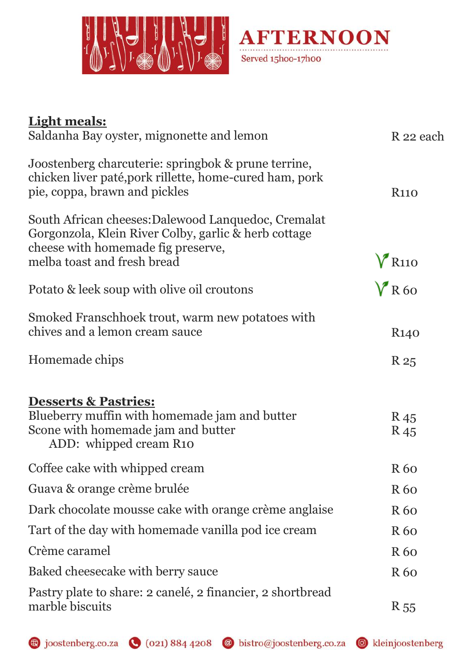



| <b>Light meals:</b><br>Saldanha Bay oyster, mignonette and lemon                                                                                                                 | R 22 each                          |
|----------------------------------------------------------------------------------------------------------------------------------------------------------------------------------|------------------------------------|
| Joostenberg charcuterie: springbok & prune terrine,<br>chicken liver paté, pork rillette, home-cured ham, pork<br>pie, coppa, brawn and pickles                                  | <b>R110</b>                        |
| South African cheeses: Dalewood Lanquedoc, Cremalat<br>Gorgonzola, Klein River Colby, garlic & herb cottage<br>cheese with homemade fig preserve,<br>melba toast and fresh bread | $V_{R110}$                         |
| Potato & leek soup with olive oil croutons                                                                                                                                       | $V$ R60                            |
| Smoked Franschhoek trout, warm new potatoes with<br>chives and a lemon cream sauce                                                                                               | R <sub>140</sub>                   |
| Homemade chips                                                                                                                                                                   | R 25                               |
| <b>Desserts &amp; Pastries:</b><br>Blueberry muffin with homemade jam and butter<br>Scone with homemade jam and butter<br>ADD: whipped cream R10                                 | R <sub>45</sub><br>R <sub>45</sub> |
| Coffee cake with whipped cream                                                                                                                                                   | R <sub>60</sub>                    |
| Guava & orange crème brulée                                                                                                                                                      | <b>R</b> 60                        |
| Dark chocolate mousse cake with orange crème anglaise                                                                                                                            | R 60                               |
| Tart of the day with homemade vanilla pod ice cream                                                                                                                              | R 60                               |
| Crème caramel                                                                                                                                                                    | R 60                               |
| Baked cheesecake with berry sauce                                                                                                                                                | R <sub>60</sub>                    |
| Pastry plate to share: 2 canelé, 2 financier, 2 shortbread<br>marble biscuits                                                                                                    | R <sub>55</sub>                    |